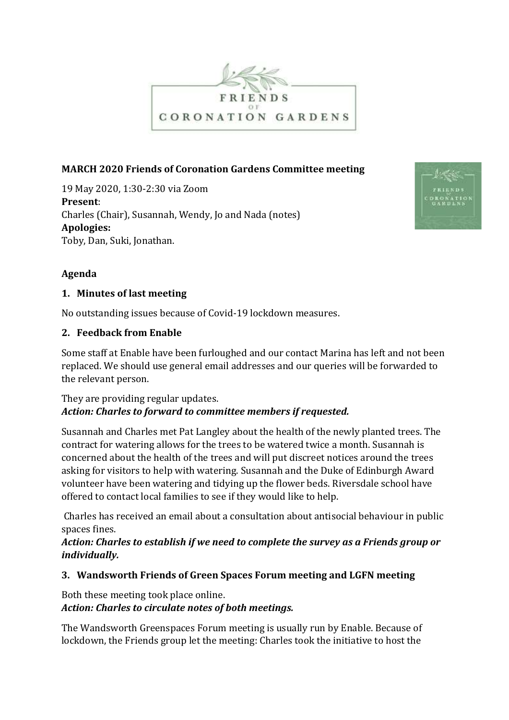

### **MARCH 2020 Friends of Coronation Gardens Committee meeting**

19 May 2020, 1:30-2:30 via Zoom **Present**: Charles (Chair), Susannah, Wendy, Jo and Nada (notes) **Apologies:** Toby, Dan, Suki, Jonathan.



## **Agenda**

#### **1. Minutes of last meeting**

No outstanding issues because of Covid-19 lockdown measures.

#### **2. Feedback from Enable**

Some staff at Enable have been furloughed and our contact Marina has left and not been replaced. We should use general email addresses and our queries will be forwarded to the relevant person.

## They are providing regular updates. *Action: Charles to forward to committee members if requested.*

Susannah and Charles met Pat Langley about the health of the newly planted trees. The contract for watering allows for the trees to be watered twice a month. Susannah is concerned about the health of the trees and will put discreet notices around the trees asking for visitors to help with watering. Susannah and the Duke of Edinburgh Award volunteer have been watering and tidying up the flower beds. Riversdale school have offered to contact local families to see if they would like to help.

Charles has received an email about a consultation about antisocial behaviour in public spaces fines.

*Action: Charles to establish if we need to complete the survey as a Friends group or individually.*

### **3. Wandsworth Friends of Green Spaces Forum meeting and LGFN meeting**

# Both these meeting took place online. *Action: Charles to circulate notes of both meetings.*

The Wandsworth Greenspaces Forum meeting is usually run by Enable. Because of lockdown, the Friends group let the meeting: Charles took the initiative to host the